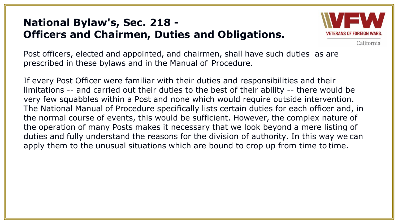#### **National Bylaw's, Sec. 218 - Officers and Chairmen, Duties and Obligations.**



California

Post officers, elected and appointed, and chairmen, shall have such duties as are prescribed in these bylaws and in the Manual of Procedure.

If every Post Officer were familiar with their duties and responsibilities and their limitations -- and carried out their duties to the best of their ability -- there would be very few squabbles within a Post and none which would require outside intervention. The National Manual of Procedure specifically lists certain duties for each officer and, in the normal course of events, this would be sufficient. However, the complex nature of the operation of many Posts makes it necessary that we look beyond a mere listing of duties and fully understand the reasons for the division of authority. In this way we can apply them to the unusual situations which are bound to crop up from time to time.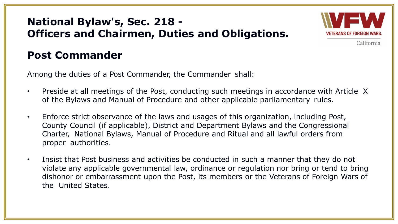#### **National Bylaw's, Sec. 218 - Officers and Chairmen, Duties and Obligations.**



California

#### **Post Commander**

Among the duties of a Post Commander, the Commander shall:

- Preside at all meetings of the Post, conducting such meetings in accordance with Article X of the Bylaws and Manual of Procedure and other applicable parliamentary rules.
- Enforce strict observance of the laws and usages of this organization, including Post, County Council (if applicable), District and Department Bylaws and the Congressional Charter, National Bylaws, Manual of Procedure and Ritual and all lawful orders from proper authorities.
- Insist that Post business and activities be conducted in such a manner that they do not violate any applicable governmental law, ordinance or regulation nor bring or tend to bring dishonor or embarrassment upon the Post, its members or the Veterans of Foreign Wars of the United States.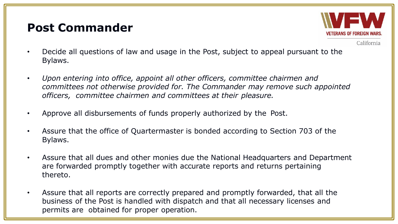# **Post Commander**



- Decide all questions of law and usage in the Post, subject to appeal pursuant to the Bylaws.
- *Upon entering into office, appoint all other officers, committee chairmen and committees not otherwise provided for. The Commander may remove such appointed officers, committee chairmen and committees at their pleasure.*
- Approve all disbursements of funds properly authorized by the Post.
- Assure that the office of Quartermaster is bonded according to Section 703 of the Bylaws.
- Assure that all dues and other monies due the National Headquarters and Department are forwarded promptly together with accurate reports and returns pertaining thereto.
- Assure that all reports are correctly prepared and promptly forwarded, that all the business of the Post is handled with dispatch and that all necessary licenses and permits are obtained for proper operation.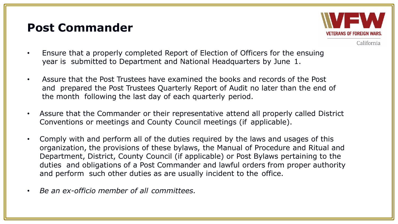# **Post Commander**



- Ensure that a properly completed Report of Election of Officers for the ensuing year is submitted to Department and National Headquarters by June 1.
- Assure that the Post Trustees have examined the books and records of the Post and prepared the Post Trustees Quarterly Report of Audit no later than the end of the month following the last day of each quarterly period.
- Assure that the Commander or their representative attend all properly called District Conventions or meetings and County Council meetings (if applicable).
- Comply with and perform all of the duties required by the laws and usages of this organization, the provisions of these bylaws, the Manual of Procedure and Ritual and Department, District, County Council (if applicable) or Post Bylaws pertaining to the duties and obligations of a Post Commander and lawful orders from proper authority and perform such other duties as are usually incident to the office.
- *Be an ex-officio member of all committees.*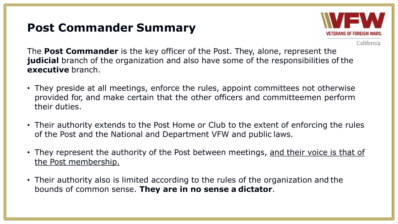# **Post Commander Summary**



California

The **Post Commander** is the key officer of the Post. They, alone, represent the **judicial** branch of the organization and also have some of the responsibilities of the **executive** branch.

- They preside at all meetings, enforce the rules, appoint committees not otherwise provided for, and make certain that the other officers and committeemen perform their duties.
- Their authority extends to the Post Home or Club to the extent of enforcing the rules of the Post and the National and Department VFW and public laws.
- They represent the authority of the Post between meetings, and their voice is that of the Post membership.
- Their authority also is limited according to the rules of the organization and the bounds of common sense. **They are in no sense a dictator**.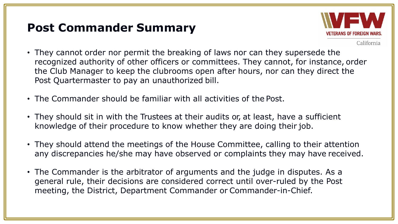## **Post Commander Summary**



- They cannot order nor permit the breaking of laws nor can they supersede the recognized authority of other officers or committees. They cannot, for instance, order the Club Manager to keep the clubrooms open after hours, nor can they direct the Post Quartermaster to pay an unauthorized bill.
- The Commander should be familiar with all activities of the Post.
- They should sit in with the Trustees at their audits or, at least, have a sufficient knowledge of their procedure to know whether they are doing their job.
- They should attend the meetings of the House Committee, calling to their attention any discrepancies he/she may have observed or complaints they may have received.
- The Commander is the arbitrator of arguments and the judge in disputes. As a general rule, their decisions are considered correct until over-ruled by the Post meeting, the District, Department Commander or Commander-in-Chief.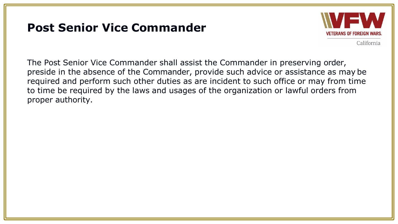# **Post Senior Vice Commander**



California

The Post Senior Vice Commander shall assist the Commander in preserving order, preside in the absence of the Commander, provide such advice or assistance as may be required and perform such other duties as are incident to such office or may from time to time be required by the laws and usages of the organization or lawful orders from proper authority.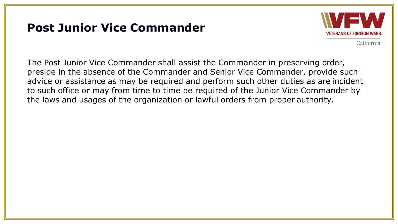## **Post Junior Vice Commander**



California

The Post Junior Vice Commander shall assist the Commander in preserving order, preside in the absence of the Commander and Senior Vice Commander, provide such advice or assistance as may be required and perform such other duties as are incident to such office or may from time to time be required of the Junior Vice Commander by the laws and usages of the organization or lawful orders from proper authority.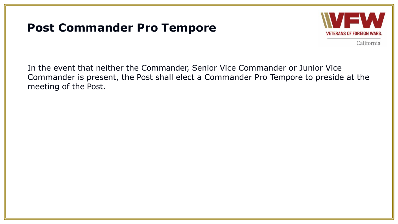## **Post Commander Pro Tempore**



California

In the event that neither the Commander, Senior Vice Commander or Junior Vice Commander is present, the Post shall elect a Commander Pro Tempore to preside at the meeting of the Post.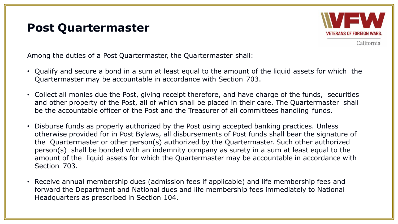#### **Post Quartermaster**



California

Among the duties of a Post Quartermaster, the Quartermaster shall:

- Qualify and secure a bond in a sum at least equal to the amount of the liquid assets for which the Quartermaster may be accountable in accordance with Section 703.
- Collect all monies due the Post, giving receipt therefore, and have charge of the funds, securities and other property of the Post, all of which shall be placed in their care. The Quartermaster shall be the accountable officer of the Post and the Treasurer of all committees handling funds.
- Disburse funds as properly authorized by the Post using accepted banking practices. Unless otherwise provided for in Post Bylaws, all disbursements of Post funds shall bear the signature of the Quartermaster or other person(s) authorized by the Quartermaster. Such other authorized person(s) shall be bonded with an indemnity company as surety in a sum at least equal to the amount of the liquid assets for which the Quartermaster may be accountable in accordance with Section 703.
- Receive annual membership dues (admission fees if applicable) and life membership fees and forward the Department and National dues and life membership fees immediately to National Headquarters as prescribed in Section 104.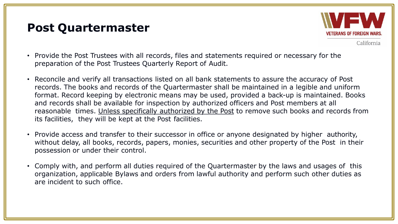#### **Post Quartermaster**



- Provide the Post Trustees with all records, files and statements required or necessary for the preparation of the Post Trustees Quarterly Report of Audit.
- Reconcile and verify all transactions listed on all bank statements to assure the accuracy of Post records. The books and records of the Quartermaster shall be maintained in a legible and uniform format. Record keeping by electronic means may be used, provided a back-up is maintained. Books and records shall be available for inspection by authorized officers and Post members at all reasonable times. Unless specifically authorized by the Post to remove such books and records from its facilities, they will be kept at the Post facilities.
- Provide access and transfer to their successor in office or anyone designated by higher authority, without delay, all books, records, papers, monies, securities and other property of the Post in their possession or under their control.
- Comply with, and perform all duties required of the Quartermaster by the laws and usages of this organization, applicable Bylaws and orders from lawful authority and perform such other duties as are incident to such office.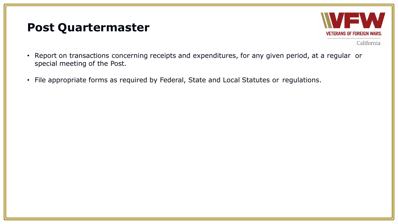#### **Post Quartermaster**



- Report on transactions concerning receipts and expenditures, for any given period, at a regular or special meeting of the Post.
- File appropriate forms as required by Federal, State and Local Statutes or regulations.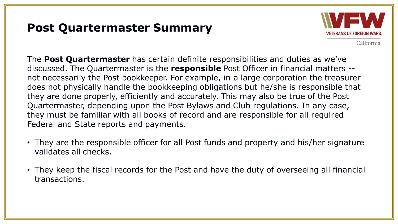## **Post Quartermaster Summary**



California

The **Post Quartermaster** has certain definite responsibilities and duties as we've discussed. The Quartermaster is the **responsible** Post Officer in financial matters - not necessarily the Post bookkeeper. For example, in a large corporation the treasurer does not physically handle the bookkeeping obligations but he/she is responsible that they are done properly, efficiently and accurately. This may also be true of the Post Quartermaster, depending upon the Post Bylaws and Club regulations. In any case, they must be familiar with all books of record and are responsible for all required Federal and State reports and payments.

- They are the responsible officer for all Post funds and property and his/her signature validates all checks.
- They keep the fiscal records for the Post and have the duty of overseeing all financial transactions.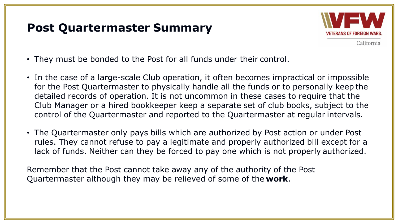### **Post Quartermaster Summary**



California

- They must be bonded to the Post for all funds under their control.
- In the case of a large-scale Club operation, it often becomes impractical or impossible for the Post Quartermaster to physically handle all the funds or to personally keep the detailed records of operation. It is not uncommon in these cases to require that the Club Manager or a hired bookkeeper keep a separate set of club books, subject to the control of the Quartermaster and reported to the Quartermaster at regular intervals.
- The Quartermaster only pays bills which are authorized by Post action or under Post rules. They cannot refuse to pay a legitimate and properly authorized bill except for a lack of funds. Neither can they be forced to pay one which is not properly authorized.

Remember that the Post cannot take away any of the authority of the Post Quartermaster although they may be relieved of some of the **work**.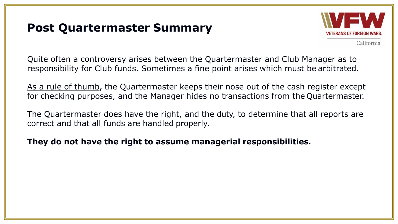### **Post Quartermaster Summary**



California

Quite often a controversy arises between the Quartermaster and Club Manager as to responsibility for Club funds. Sometimes a fine point arises which must be arbitrated.

As a rule of thumb, the Quartermaster keeps their nose out of the cash register except for checking purposes, and the Manager hides no transactions from the Quartermaster.

The Quartermaster does have the right, and the duty, to determine that all reports are correct and that all funds are handled properly.

**They do not have the right to assume managerial responsibilities.**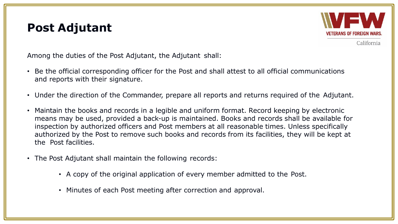#### **Post Adjutant**



California

Among the duties of the Post Adjutant, the Adjutant shall:

- Be the official corresponding officer for the Post and shall attest to all official communications and reports with their signature.
- Under the direction of the Commander, prepare all reports and returns required of the Adjutant.
- Maintain the books and records in a legible and uniform format. Record keeping by electronic means may be used, provided a back-up is maintained. Books and records shall be available for inspection by authorized officers and Post members at all reasonable times. Unless specifically authorized by the Post to remove such books and records from its facilities, they will be kept at the Post facilities.
- The Post Adjutant shall maintain the following records:
	- A copy of the original application of every member admitted to the Post.
	- Minutes of each Post meeting after correction and approval.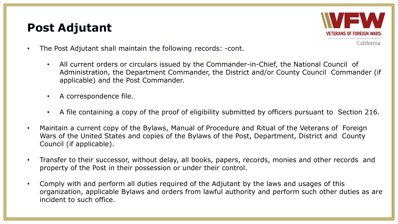# **Post Adjutant**



- The Post Adjutant shall maintain the following records: -cont.
	- All current orders or circulars issued by the Commander-in-Chief, the National Council of Administration, the Department Commander, the District and/or County Council Commander (if applicable) and the Post Commander.
	- A correspondence file.
	- A file containing a copy of the proof of eligibility submitted by officers pursuant to Section 216.
- Maintain a current copy of the Bylaws, Manual of Procedure and Ritual of the Veterans of Foreign Wars of the United States and copies of the Bylaws of the Post, Department, District and County Council (if applicable).
- Transfer to their successor, without delay, all books, papers, records, monies and other records and property of the Post in their possession or under their control.
- Comply with and perform all duties required of the Adjutant by the laws and usages of this organization, applicable Bylaws and orders from lawful authority and perform such other duties as are incident to such office.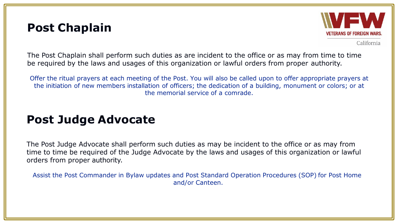#### **Post Chaplain**



California

The Post Chaplain shall perform such duties as are incident to the office or as may from time to time be required by the laws and usages of this organization or lawful orders from proper authority.

Offer the ritual prayers at each meeting of the Post. You will also be called upon to offer appropriate prayers at the initiation of new members installation of officers; the dedication of a building, monument or colors; or at the memorial service of a comrade.

# **Post Judge Advocate**

The Post Judge Advocate shall perform such duties as may be incident to the office or as may from time to time be required of the Judge Advocate by the laws and usages of this organization or lawful orders from proper authority.

Assist the Post Commander in Bylaw updates and Post Standard Operation Procedures (SOP) for Post Home and/or Canteen.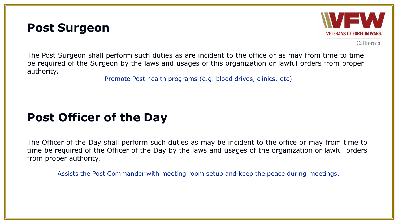#### **Post Surgeon**



California

The Post Surgeon shall perform such duties as are incident to the office or as may from time to time be required of the Surgeon by the laws and usages of this organization or lawful orders from proper authority.

Promote Post health programs (e.g. blood drives, clinics, etc)

# **Post Officer of the Day**

The Officer of the Day shall perform such duties as may be incident to the office or may from time to time be required of the Officer of the Day by the laws and usages of the organization or lawful orders from proper authority.

Assists the Post Commander with meeting room setup and keep the peace during meetings.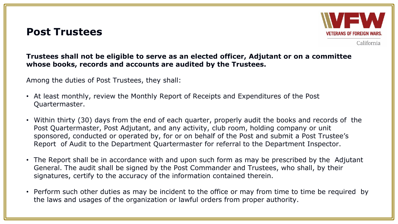#### **Post Trustees**



California

#### **Trustees shall not be eligible to serve as an elected officer, Adjutant or on a committee whose books, records and accounts are audited by the Trustees.**

Among the duties of Post Trustees, they shall:

- At least monthly, review the Monthly Report of Receipts and Expenditures of the Post Quartermaster.
- Within thirty (30) days from the end of each quarter, properly audit the books and records of the Post Quartermaster, Post Adjutant, and any activity, club room, holding company or unit sponsored, conducted or operated by, for or on behalf of the Post and submit a Post Trustee's Report of Audit to the Department Quartermaster for referral to the Department Inspector.
- The Report shall be in accordance with and upon such form as may be prescribed by the Adjutant General. The audit shall be signed by the Post Commander and Trustees, who shall, by their signatures, certify to the accuracy of the information contained therein.
- Perform such other duties as may be incident to the office or may from time to time be required by the laws and usages of the organization or lawful orders from proper authority.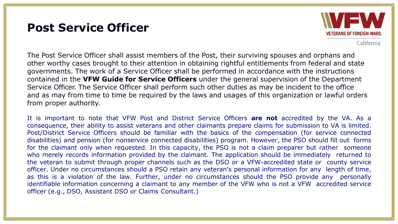#### **Post Service Officer**



California

The Post Service Officer shall assist members of the Post, their surviving spouses and orphans and other worthy cases brought to their attention in obtaining rightful entitlements from federal and state governments. The work of a Service Officer shall be performed in accordance with the instructions contained in the **VFW Guide for Service Officers** under the general supervision of the Department Service Officer. The Service Officer shall perform such other duties as may be incident to the office and as may from time to time be required by the laws and usages of this organization or lawful orders from proper authority.

It is important to note that VFW Post and District Service Officers **are not** accredited by the VA. As a consequence, their ability to assist veterans and other claimants prepare claims for submission to VA is limited. Post/District Service Officers should be familiar with the basics of the compensation (for service connected disabilities) and pension (for nonservice connected disabilities) program. However, the PSO should fill out forms for the claimant only when requested. In this capacity, the PSO is not a claim preparer but rather someone who merely records information provided by the claimant. The application should be immediately returned to the veteran to submit through proper channels such as the DSO or a VFW-accredited state or county service officer. Under no circumstances should a PSO retain any veteran's personal information for any length of time, as this is a violation of the law. Further, under no circumstances should the PSO provide any personally identifiable information concerning a claimant to any member of the VFW who is not a VFW accredited service officer (e.g., DSO, Assistant DSO or Claims Consultant.)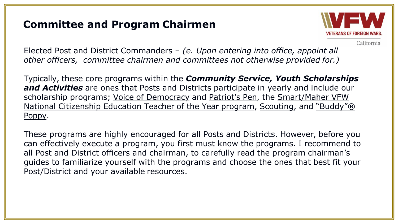#### **Committee and Program Chairmen**



California

Elected Post and District Commanders – *(e. Upon entering into office, appoint all other officers, committee chairmen and committees not otherwise provided for.)*

Typically, these core programs within the *Community Service, Youth Scholarships and Activities* are ones that Posts and Districts participate in yearly and include our scholarship programs; Voice of Democracy and Patriot's Pen, the Smart/Maher VFW National Citizenship Education Teacher of the Year program, Scouting, and "Buddy"® Poppy.

These programs are highly encouraged for all Posts and Districts. However, before you can effectively execute a program, you first must know the programs. I recommend to all Post and District officers and chairman, to carefully read the program chairman's guides to familiarize yourself with the programs and choose the ones that best fit your Post/District and your available resources.